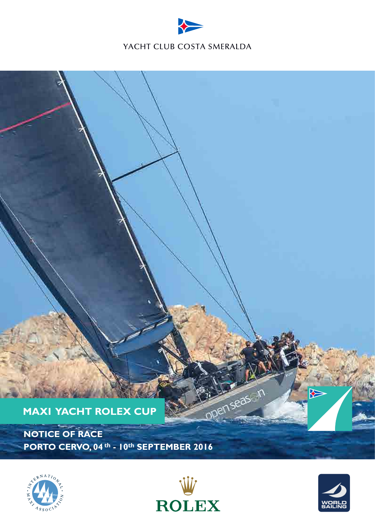







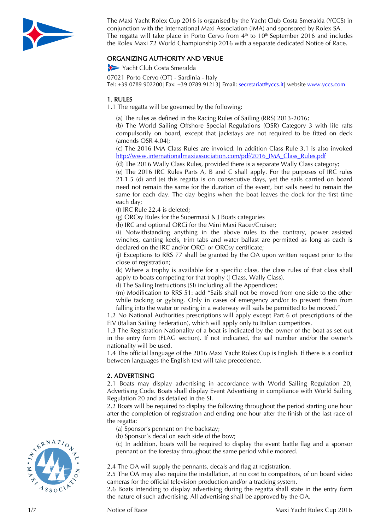

The Maxi Yacht Rolex Cup 2016 is organised by the Yacht Club Costa Smeralda (YCCS) in conjunction with the International Maxi Association (IMA) and sponsored by Rolex SA. The regatta will take place in Porto Cervo from  $4<sup>th</sup>$  to  $10<sup>th</sup>$  September 2016 and includes the Rolex Maxi 72 World Championship 201 6 with a separate dedicated Notice of Race.

## ORGANIZING AUTHORITY AND VENUE

Yacht Club Costa Smeralda

07021 Porto Cervo (OT) - Sardinia - Italy Tel: +39 0789 902200| Fax: +39 0789 91213| Email: <u>secretariat@yccs.it| website www.yccs.com</u>

## 1 . R U L E S

1.1 The regatta will be governed by the following:

(a) The rules as defined in the Racing Rules of Sailing (RRS) 2013 -2016;

(b) The World Sailing Offshore Special Regulations (OSR) Category 3 with life rafts compulsorily on board, except that jackstays are not required to be fitted on deck (amends OSR 4.04);

(c) The 201 6 IMA Class Rules are invoked. In addition Class Rule 3.1 is also invoked http://www.internationalmaxiassociation.com/pdf/2016\_IMA\_Class\_Rules.pdf

(d) The 201 6 Wally Class Rules, provided there is a separate Wally Class category ;

(e) The 201 6 IRC Rules Parts A, B and C shall apply. For the purposes of IRC rules 21.1.5 (d) and (e) this regatta is on consecutive days, yet the sails carried on board need not remain the same for the duration of the event, but sails need to remain the same for each day. The day begins when the boat leaves the dock for the first time each day;

(f) IRC Rule 22.4 is deleted;

(g) ORCsy Rules for the Supermaxi & J Boats categories

(h) IRC and optional ORCi for the Mini Maxi Racer/Cruiser ;

( i) Notwithstanding anything in the above rules to the contrary, power assisted winches, canting keels, trim tabs and water ballast are permitted as long as each is declared on the IRC and/or ORCi or ORCsy certificate;

(j) Exceptions to RRS 77 shall be granted by the OA upon written request prior to the close of registration;

(k) Where a trophy is available for a specific class, the class rules of that class shall apply to boats competing for that trophy (J Class, Wally Class).

(l) The Sailing Instructions (SI) including all the Appendices;

(m) Modification to RRS 51: add "Sails shall not be moved from one side to the other while tacking or gybing. Only in cases of emergency and/or to prevent them from falling into the water or resting in a waterway will sails be permitted to be moved."

1.2 No National Authorities prescriptions will apply except Part 6 of prescriptions of the FIV (Italian Sailing Federation), which will apply only to Italian competitors.

1.3 The Registration Nationality of a boat is indicated by the owner of the boat as set out in the entry form (FLAG section). If not indicated, the sail number and/or the owner's nationality will be used.

1.4 The official language of the 2016 Maxi Yacht Rolex Cup is English. If there is a conflict between languages the English text will take precedence.

# 2. ADVERTISING

2.1 Boats may display advertising in accordance with World Sailing Regulation 20, Advertising Code. Boats shall display Event Advertising in compliance with World Sailing Regulation 20 and as detailed in the SI .

2.2 Boats will be required to display the following throughout the period starting one hour after the completion of registration and ending one hour after the finish of the last race of the regatta:

- (a) Sponsor's pennant on the backstay;
- (b) Sponsor's decal on each side of the bow;

(c) In addition , boats will be required to display the event battle flag and a sponsor pennant on the forestay throughout the same period while moored.

#### 2.4 The OA will supply the pennants, decals and flag at registration.

2.5 The OA may also require the installation, at no cost to competitors, of on board video cameras for the official television production and/or a tracking system.

2.6 Boats intending to display advertising during the regatta shall state in the entry form the nature of such advertising. All advertising shall be approved by the OA.

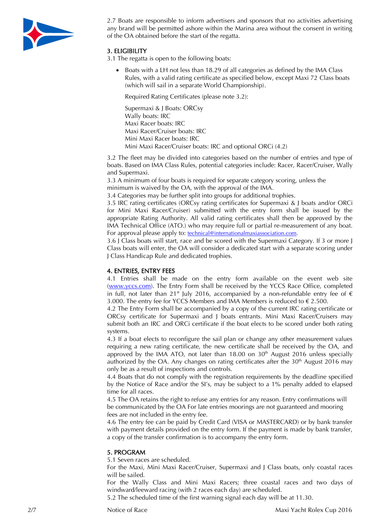

2.7 Boats are responsible to inform advertisers and sponsors that no activities advertising any brand will be permitted ashore within the Marina area without the consent in writing of the OA obtained before the start of the regatta.

## 3. ELIGIBILITY

3.1 The regatta is open to the following boats:

 Boats with a LH not less than 18.29 of all categories as defined by the IMA Class Rules, with a valid rating certificate as specified below, except Maxi 72 Class boats (which will sail in a separate World Championship).

Required Rating Certificates (please note 3.2):

Supermaxi & J Boats: ORCsy Wally boats: IRC Maxi Racer boats: IRC Maxi Racer/Cruiser boats: IRC Mini Maxi Racer boats: IRC Mini Maxi Racer/Cruiser boats: IRC and optional ORCi (4.2)

3.2 The fleet may be divided into categories based on the number of entries and type of boats. Based on IMA Class Rules, potential categories include: Racer, Racer/Cruiser, Wally and Supermaxi.

3.3 A minimum of four boats is required for separate category scoring, unless the minimum is waived by the OA, with the approval of the IMA.

3.4 Categories may be further split into groups for additional trophies.

3.5 IRC rating certificates (ORCsy rating certificates for Supermaxi & J boats and/or ORCi for Mini Maxi Racer/Cruiser) submitted with the entry form shall be issued by the appropriate Rating Authority. All valid rating certificates shall then be approved by the IMA Technical Office (ATO.) who may require full or partial re-measurement of any boat. For approval please apply to: technical@internationalmaxiassociation.com.

3.6 J Class boats will start, race and be scored with the Supermaxi Category. If 3 or more J Class boats will enter, the OA will consider a dedicated start with a separate scoring under J Class Handicap Rule and dedicated trophies.

## 4. ENTRIES, ENTRY FEES

4.1 Entries shall be made on the entry form available on the event web site (www.yccs.com). The Entry Form shall be received by the YCCS Race Office, completed in full, not later than 21<sup>st</sup> July 2016, accompanied by a non-refundable entry fee of  $\epsilon$ 3.000. The entry fee for YCCS Members and IMA Members is reduced to € 2.500.

4.2 The Entry Form shall be accompanied by a copy of the current IRC rating certificate or ORCsy certificate for Supermaxi and J boats entrants. Mini Maxi Racer/Cruisers may submit both an IRC and ORCi certificate if the boat elects to be scored under both rating systems.

4.3 If a boat elects to reconfigure the sail plan or change any other measurement values requiring a new rating certificate, the new certificate shall be received by the OA, and approved by the IMA ATO, not later than  $18.00$  on  $30<sup>th</sup>$  August 2016 unless specially authorized by the OA. Any changes on rating certificates after the  $30<sup>th</sup>$  August 2016 may only be as a result of inspections and controls.

4.4 Boats that do not comply with the registration requirements by the deadline specified by the Notice of Race and/or the SI's, may be subject to a 1% penalty added to elapsed time for all races.

4.5 The OA retains the right to refuse any entries for any reason. Entry confirmations will be communicated by the OA For late entries moorings are not guaranteed and mooring fees are not included in the entry fee.

4.6 The entry fee can be paid by Credit Card (VISA or MASTERCARD) or by bank transfer with payment details provided on the entry form. If the payment is made by bank transfer, a copy of the transfer confirmation is to accompany the entry form.

### 5. PROGRAM

5.1 Seven races are scheduled.

For the Maxi, Mini Maxi Racer/Cruiser, Supermaxi and J Class boats, only coastal races will be sailed.

For the Wally Class and Mini Maxi Racers; three coastal races and two days of windward/leeward racing (with 2 races each day) are scheduled.

5.2 The scheduled time of the first warning signal each day will be at 11.30.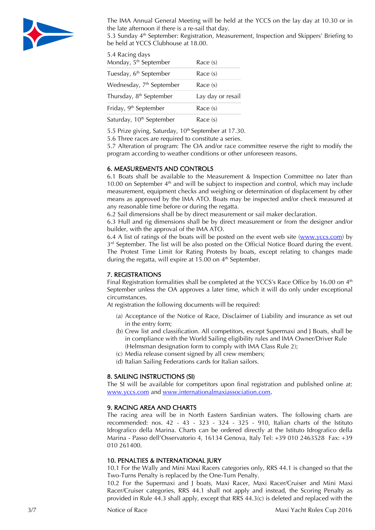

The IMA Annual General Meeting will be held at the YCCS on the lay day at 10.30 or in the late afternoon if there is a re-sail that day.

5.3 Sunday 4th September: Registration, Measurement, Inspection and Skippers' Briefing to be held at YCCS Clubhouse at 18.00.

| 5.4 Racing days<br>Monday, 5 <sup>th</sup> September | Race (s)          |
|------------------------------------------------------|-------------------|
| Tuesday, 6 <sup>th</sup> September                   | Race (s)          |
| Wednesday, 7 <sup>th</sup> September                 | Race (s)          |
| Thursday, 8 <sup>th</sup> September                  | Lay day or resail |
| Friday, 9 <sup>th</sup> September                    | Race (s)          |
| Saturday, 10 <sup>th</sup> September                 | Race (s)          |

5.5 Prize giving, Saturday, 10<sup>th</sup> September at 17.30.

5.6 Three races are required to constitute a series.

5.7 Alteration of program: The OA and/or race committee reserve the right to modify the program according to weather conditions or other unforeseen reasons.

#### 6. MEASUREMENTS AND CONTROLS

6.1 Boats shall be available to the Measurement & Inspection Committee no later than 10.00 on September  $4<sup>th</sup>$  and will be subject to inspection and control, which may include measurement, equipment checks and weighing or determination of displacement by other means as approved by the IMA ATO. Boats may be inspected and/or check measured at any reasonable time before or during the regatta.

6.2 Sail dimensions shall be by direct measurement or sail maker declaration.

6.3 Hull and rig dimensions shall be by direct measurement or from the designer and/or builder, with the approval of the IMA ATO.

6.4 A list of ratings of the boats will be posted on the event web site (www.yccs.com) by 3<sup>rd</sup> September. The list will be also posted on the Official Notice Board during the event. The Protest Time Limit for Rating Protests by boats, except relating to changes made during the regatta, will expire at  $15.00$  on  $4<sup>th</sup>$  September.

#### 7. REGISTRATIONS

Final Registration formalities shall be completed at the YCCS's Race Office by 16.00 on 4<sup>th</sup> September unless the OA approves a later time, which it will do only under exceptional circumstances.

At registration the following documents will be required:

- (a) Acceptance of the Notice of Race, Disclaimer of Liability and insurance as set out in the entry form;
- (b) Crew list and classification. All competitors, except Supermaxi and J Boats, shall be in compliance with the World Sailing eligibility rules and IMA Owner/Driver Rule (Helmsman designation form to comply with IMA Class Rule 2);
- (c) Media release consent signed by all crew members;
- (d) Italian Sailing Federations cards for Italian sailors.

#### 8. SAILING INSTRUCTIONS (SI)

The SI will be available for competitors upon final registration and published online at: www.yccs.com and www.internationalmaxiassociation.com.

#### 9. RACING AREA AND CHARTS

The racing area will be in North Eastern Sardinian waters. The following charts are recommended: nos. 42 - 43 - 323 - 324 - 325 - 910, Italian charts of the Istituto Idrografico della Marina. Charts can be ordered directly at the Istituto Idrografico della Marina - Passo dell'Osservatorio 4, 16134 Genova, Italy Tel: +39 010 2463528 Fax: +39 010 261400.

#### 10. PENALTIES & INTERNATIONAL JURY

10.1 For the Wally and Mini Maxi Racers categories only, RRS 44.1 is changed so that the Two-Turns Penalty is replaced by the One-Turn Penalty.

10.2 For the Supermaxi and J boats, Maxi Racer, Maxi Racer/Cruiser and Mini Maxi Racer/Cruiser categories, RRS 44.1 shall not apply and instead, the Scoring Penalty as provided in Rule 44.3 shall apply, except that RRS 44.3(c) is deleted and replaced with the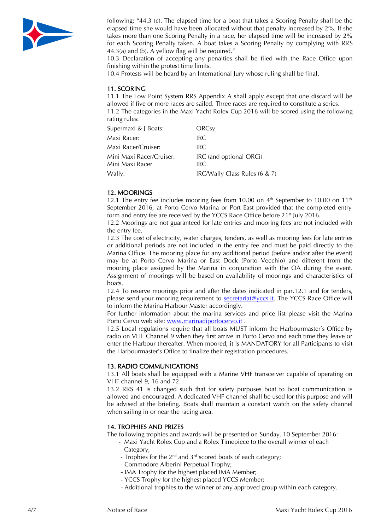

following: "44.3 (c). The elapsed time for a boat that takes a Scoring Penalty shall be the elapsed time she would have been allocated without that penalty increased by 2%. If she takes more than one Scoring Penalty in a race, her elapsed time will be increased by 2% for each Scoring Penalty taken. A boat takes a Scoring Penalty by complying with RRS 44.3(a) and (b). A yellow flag will be required."

10.3 Declaration of accepting any penalties shall be filed with the Race Office upon finishing within the protest time limits.

10.4 Protests will be heard by an International Jury whose ruling shall be final.

### 11. SCORING

11.1 The Low Point System RRS Appendix A shall apply except that one discard will be allowed if five or more races are sailed. Three races are required to constitute a series.

11.2 The categories in the Maxi Yacht Rolex Cup 2016 will be scored using the following rating rules:

| Supermaxi & J Boats:     | ORCsy                         |
|--------------------------|-------------------------------|
| Maxi Racer:              | IRC.                          |
| Maxi Racer/Cruiser:      | IRC.                          |
| Mini Maxi Racer/Cruiser: | IRC (and optional ORCi)       |
| Mini Maxi Racer          | IRC                           |
| Wally:                   | IRC/Wally Class Rules (6 & 7) |

#### 12. MOORINGS

12.1 The entry fee includes mooring fees from 10.00 on  $4<sup>th</sup>$  September to 10.00 on 11<sup>th</sup> September 2016, at Porto Cervo Marina or Port East provided that the completed entry form and entry fee are received by the YCCS Race Office before 21<sup>st</sup> July 2016.

12.2 Moorings are not guaranteed for late entries and mooring fees are not included with the entry fee.

12.3 The cost of electricity, water charges, tenders, as well as mooring fees for late entries or additional periods are not included in the entry fee and must be paid directly to the Marina Office. The mooring place for any additional period (before and/or after the event) may be at Porto Cervo Marina or East Dock (Porto Vecchio) and different from the mooring place assigned by the Marina in conjunction with the OA during the event. Assignment of moorings will be based on availability of moorings and characteristics of boats.

12.4 To reserve moorings prior and after the dates indicated in par.12.1 and for tenders, please send your mooring requirement to secretariat@yccs.it. The YCCS Race Office will to inform the Marina Harbour Master accordingly.

For further information about the marina services and price list please visit the Marina Porto Cervo web site: www.marinadiportocervo.it .

12.5 Local regulations require that all boats MUST inform the Harbourmaster's Office by radio on VHF Channel 9 when they first arrive in Porto Cervo and each time they leave or enter the Harbour thereafter. When moored, it is MANDATORY for all Participants to visit the Harbourmaster's Office to finalize their registration procedures.

### 13. RADIO COMMUNICATIONS

13.1 All boats shall be equipped with a Marine VHF transceiver capable of operating on VHF channel 9, 16 and 72.

13.2 RRS 41 is changed such that for safety purposes boat to boat communication is allowed and encouraged. A dedicated VHF channel shall be used for this purpose and will be advised at the briefing. Boats shall maintain a constant watch on the safety channel when sailing in or near the racing area.

#### 14. TROPHIES AND PRIZES

The following trophies and awards will be presented on Sunday, 10 September 2016:

- Maxi Yacht Rolex Cup and a Rolex Timepiece to the overall winner of each Category;
- Trophies for the  $2^{nd}$  and  $3^{rd}$  scored boats of each category;
- Commodore Alberini Perpetual Trophy;
- IMA Trophy for the highest placed IMA Member;
- YCCS Trophy for the highest placed YCCS Member;
- Additional trophies to the winner of any approved group within each category.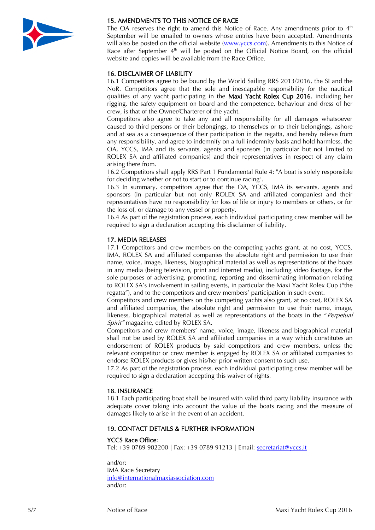

## 15. AMENDMENTS TO THIS NOTICE OF RACE

The OA reserves the right to amend this Notice of Race. Any amendments prior to  $4<sup>th</sup>$ September will be emailed to owners whose entries have been accepted. Amendments will also be posted on the official website (www.yccs.com). Amendments to this Notice of Race after September  $4<sup>th</sup>$  will be posted on the Official Notice Board, on the official website and copies will be available from the Race Office.

## 16. DISCLAIMER OF LIABILITY

16.1 Competitors agree to be bound by the World Sailing RRS 2013/2016, the SI and the NoR. Competitors agree that the sole and inescapable responsibility for the nautical qualities of any yacht participating in the Maxi Yacht Rolex Cup 2016, including her rigging, the safety equipment on board and the competence, behaviour and dress of her crew, is that of the Owner/Charterer of the yacht.

Competitors also agree to take any and all responsibility for all damages whatsoever caused to third persons or their belongings, to themselves or to their belongings, ashore and at sea as a consequence of their participation in the regatta, and hereby relieve from any responsibility, and agree to indemnify on a full indemnity basis and hold harmless, the OA, YCCS, IMA and its servants, agents and sponsors (in particular but not limited to ROLEX SA and affiliated companies) and their representatives in respect of any claim arising there from.

16.2 Competitors shall apply RRS Part 1 Fundamental Rule 4: "A boat is solely responsible for deciding whether or not to start or to continue racing".

16.3 In summary, competitors agree that the OA, YCCS, IMA its servants, agents and sponsors (in particular but not only ROLEX SA and affiliated companies) and their representatives have no responsibility for loss of life or injury to members or others, or for the loss of, or damage to any vessel or property.

16.4 As part of the registration process, each individual participating crew member will be required to sign a declaration accepting this disclaimer of liability.

### 17. MEDIA RELEASES

17.1 Competitors and crew members on the competing yachts grant, at no cost, YCCS, IMA, ROLEX SA and affiliated companies the absolute right and permission to use their name, voice, image, likeness, biographical material as well as representations of the boats in any media (being television, print and internet media), including video footage, for the sole purposes of advertising, promoting, reporting and disseminating information relating to ROLEX SA's involvement in sailing events, in particular the Maxi Yacht Rolex Cup ("the regatta"), and to the competitors and crew members' participation in such event.

Competitors and crew members on the competing yachts also grant, at no cost, ROLEX SA and affiliated companies, the absolute right and permission to use their name, image, likeness, biographical material as well as representations of the boats in the "Perpetual Spirit" magazine, edited by ROLEX SA.

Competitors and crew members' name, voice, image, likeness and biographical material shall not be used by ROLEX SA and affiliated companies in a way which constitutes an endorsement of ROLEX products by said competitors and crew members, unless the relevant competitor or crew member is engaged by ROLEX SA or affiliated companies to endorse ROLEX products or gives his/her prior written consent to such use.

17.2 As part of the registration process, each individual participating crew member will be required to sign a declaration accepting this waiver of rights.

### 18. INSURANCE

18.1 Each participating boat shall be insured with valid third party liability insurance with adequate cover taking into account the value of the boats racing and the measure of damages likely to arise in the event of an accident.

### 19. CONTACT DETAILS & FURTHER INFORMATION

#### YCCS Race Office:

Tel: +39 0789 902200 | Fax: +39 0789 91213 | Email: secretariat@yccs.it

and/or: IMA Race Secretary info@internationalmaxiassociation.com and/or: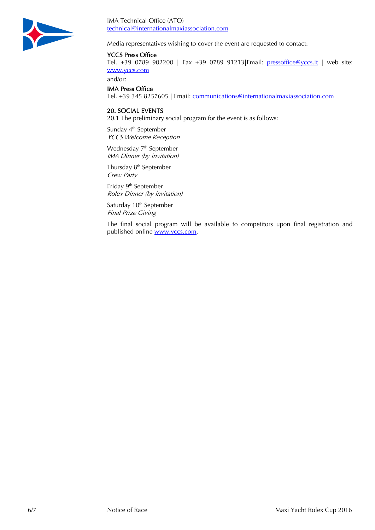

IMA Technical Office (ATO) technical@internationalmaxiassociation.com

Media representatives wishing to cover the event are requested to contact:

### YCCS Press Office

Tel. +39 0789 902200 | Fax +39 0789 91213|Email: pressoffice@yccs.it | web site: www.yccs.com

and/or:

### IMA Press Office

Tel. +39 345 8257605 | Email: communications@internationalmaxiassociation.com

#### 20. SOCIAL EVENTS

20.1 The preliminary social program for the event is as follows:

Sunday 4<sup>th</sup> September YCCS Welcome Reception

Wednesday 7<sup>th</sup> September IMA Dinner (by invitation)

Thursday 8<sup>th</sup> September Crew Party

Friday 9th September Rolex Dinner (by invitation)

Saturday 10<sup>th</sup> September Final Prize Giving

The final social program will be available to competitors upon final registration and published online www.yccs.com.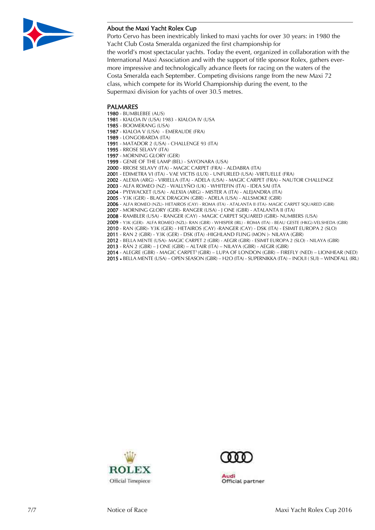

### About the Maxi Yacht Rolex Cup

Porto Cervo has been inextricably linked to maxi yachts for over 30 years: in 1980 the Yacht Club Costa Smeralda organized the first championship for the world's most spectacular yachts. Today the event, organized in collaboration with the International Maxi Association and with the support of title sponsor Rolex, gathers evermore impressive and technologically advance fleets for racing on the waters of the Costa Smeralda each September. Competing divisions range from the new Maxi 72 class, which compete for its World Championship during the event, to the Supermaxi division for yachts of over 30.5 metres.

#### PALMARES

- BUMBLEBEE (AUS)

- KIALOA IV (USA) 1983 KIALOA IV (USA
- BOOMERANG (USA)
- KIALOA V (USA) EMERAUDE (FRA)
- LONGOBARDA (ITA) - MATADOR 2 (USA) - CHALLENGE 93 (ITA)
- RROSE SELAVY (ITA)
- MORNING GLORY (GER)
- GENIE OF THE LAMP (BEL) SAYONARA (USA)
- RROSE SELAVY (ITA) MAGIC CARPET (FRA) ALDABRA (ITA)
- EDIMETRA VI (ITA) VAE VICTIS (LUX) UNFURLED (USA) -VIRTUELLE (FRA)
- ALEXIA (ARG) VIRIELLA (ITA) ADELA (USA) MAGIC CARPET (FRA) NAUTOR CHALLENGE
- ALFA ROMEO (NZ) WALLYÑO (UK) WHITEFIN (ITA) IDEA SAI (ITA
- PYEWACKET (USA) ALEXIA (ARG) MISTER A (ITA) ALEJANDRA (ITA)
- Y3K (GER) BLACK DRAGON (GBR) ADELA (USA) ALLSMOKE (GBR)
- ALFA ROMEO (NZL)- HETAIROS (CAY) ROMA (ITA) ATALANTA II (ITA)- MAGIC CARPET SQUARED (GBR)
- MORNING GLORY (GER)- RANGER (USA) J ONE (GBR) ATALANTA II (ITA)
- RAMBLER (USA) RANGER (CAY) MAGIC CARPET SQUARED (GBR)- NUMBERS (USA)
- Y3K (GER)- ALFA ROMEO (NZL)- RAN (GBR) WHISPER (IRL) ROMA (ITA) BEAU GESTE (HKG)-VELSHEDA (GBR)
- RAN (GBR)- Y3K (GER) HETAIROS (CAY) -RANGER (CAY) DSK (ITA) ESIMIT EUROPA 2 (SLO)
- RAN 2 (GBR) Y3K (GER) DSK (ITA) -HIGHLAND FLING (MON )- NILAYA (GBR)
- BELLA MENTE (USA)- MAGIC CARPET 2 (GBR) AEGIR (GBR) ESIMIT EUROPA 2 (SLO) NILAYA (GBR)
- RÁN 2 (GBR) J ONE (GBR) ALTAIR (ITA) NILAYA (GBR) AEGIR (GBR)
- ALEGRE (GBR) MAGIC CARPET3 (GBR) LUPA OF LONDON (GBR) FIREFLY (NED) LIONHEAR (NED)
- BELLA MENTE (USA) OPEN SEASON (GBR) H2O (ITA) SUPERNIKKA (ITA) INOUI ( SUI) WINDFALL (IRL)





ludi Official partner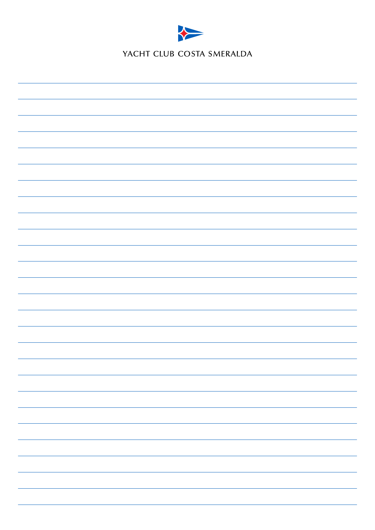

YACHT CLUB COSTA SMERALDA